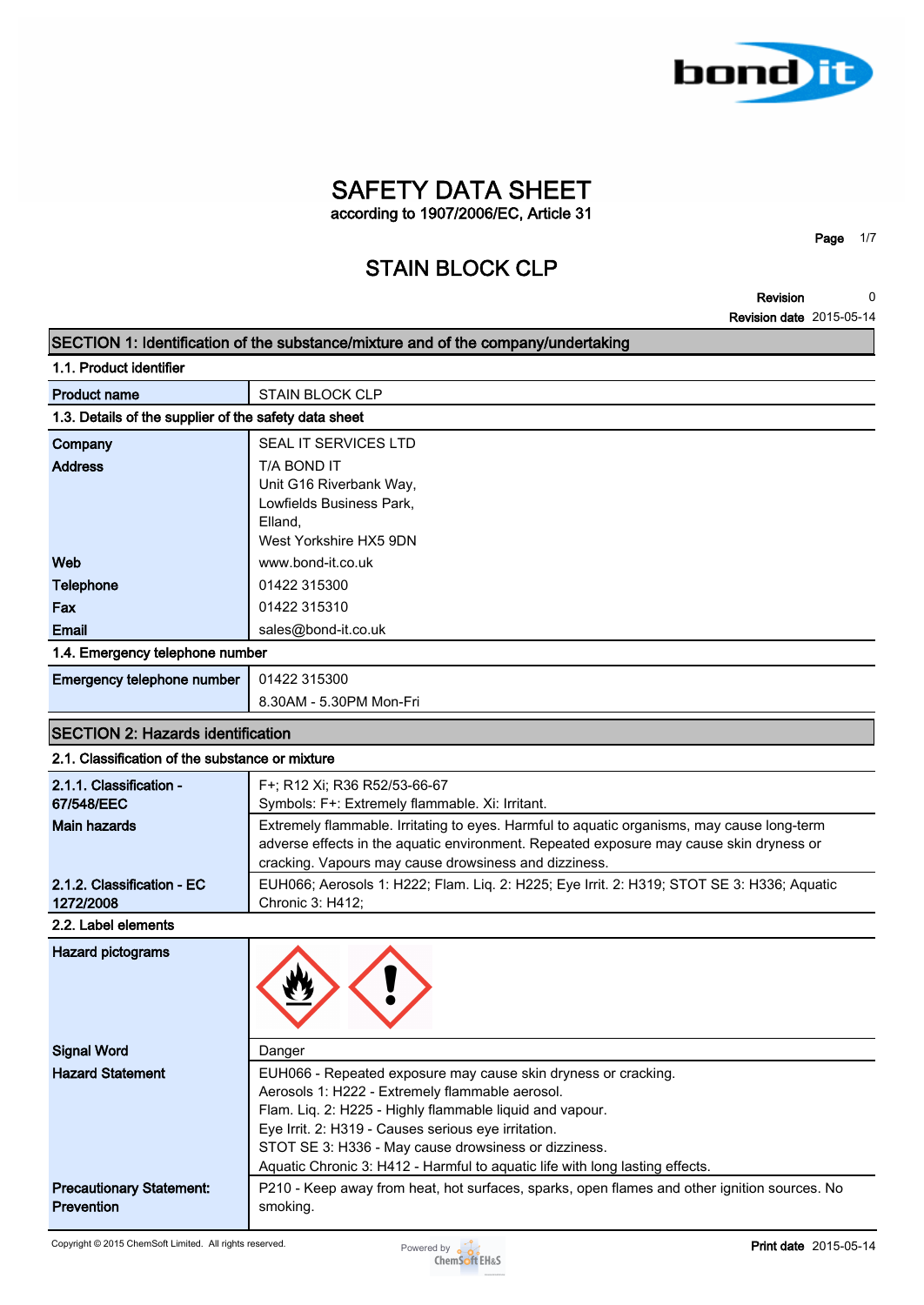

**Page 1/7**

**Revision 0**

|                                                       | <b>Revision date</b> 2015-05-14                                                                                                      |
|-------------------------------------------------------|--------------------------------------------------------------------------------------------------------------------------------------|
|                                                       | SECTION 1: Identification of the substance/mixture and of the company/undertaking                                                    |
| 1.1. Product identifier                               |                                                                                                                                      |
| <b>Product name</b>                                   | <b>STAIN BLOCK CLP</b>                                                                                                               |
| 1.3. Details of the supplier of the safety data sheet |                                                                                                                                      |
| Company                                               | SEAL IT SERVICES LTD                                                                                                                 |
| <b>Address</b>                                        | T/A BOND IT                                                                                                                          |
|                                                       | Unit G16 Riverbank Way,                                                                                                              |
|                                                       | Lowfields Business Park,<br>Elland.                                                                                                  |
|                                                       | West Yorkshire HX5 9DN                                                                                                               |
| Web                                                   | www.bond-it.co.uk                                                                                                                    |
| <b>Telephone</b>                                      | 01422 315300                                                                                                                         |
| Fax                                                   | 01422 315310                                                                                                                         |
| <b>Email</b>                                          | sales@bond-it.co.uk                                                                                                                  |
| 1.4. Emergency telephone number                       |                                                                                                                                      |
| Emergency telephone number                            | 01422 315300                                                                                                                         |
|                                                       | 8.30AM - 5.30PM Mon-Fri                                                                                                              |
| <b>SECTION 2: Hazards identification</b>              |                                                                                                                                      |
| 2.1. Classification of the substance or mixture       |                                                                                                                                      |
| 2.1.1. Classification -                               | F+; R12 Xi; R36 R52/53-66-67                                                                                                         |
| 67/548/EEC                                            | Symbols: F+: Extremely flammable. Xi: Irritant.                                                                                      |
| <b>Main hazards</b>                                   | Extremely flammable. Irritating to eyes. Harmful to aquatic organisms, may cause long-term                                           |
|                                                       | adverse effects in the aquatic environment. Repeated exposure may cause skin dryness or                                              |
|                                                       | cracking. Vapours may cause drowsiness and dizziness.                                                                                |
| 2.1.2. Classification - EC<br>1272/2008               | EUH066; Aerosols 1: H222; Flam. Liq. 2: H225; Eye Irrit. 2: H319; STOT SE 3: H336; Aquatic<br>Chronic 3: H412;                       |
| 2.2. Label elements                                   |                                                                                                                                      |
| <b>Hazard pictograms</b>                              |                                                                                                                                      |
|                                                       |                                                                                                                                      |
|                                                       |                                                                                                                                      |
|                                                       |                                                                                                                                      |
| <b>Signal Word</b>                                    | Danger                                                                                                                               |
| <b>Hazard Statement</b>                               | EUH066 - Repeated exposure may cause skin dryness or cracking.                                                                       |
|                                                       | Aerosols 1: H222 - Extremely flammable aerosol.                                                                                      |
|                                                       | Flam. Liq. 2: H225 - Highly flammable liquid and vapour.                                                                             |
|                                                       | Eye Irrit. 2: H319 - Causes serious eye irritation.                                                                                  |
|                                                       | STOT SE 3: H336 - May cause drowsiness or dizziness.<br>Aquatic Chronic 3: H412 - Harmful to aquatic life with long lasting effects. |
| <b>Precautionary Statement:</b>                       | P210 - Keep away from heat, hot surfaces, sparks, open flames and other ignition sources. No                                         |
| <b>Prevention</b>                                     | smoking.                                                                                                                             |
|                                                       |                                                                                                                                      |

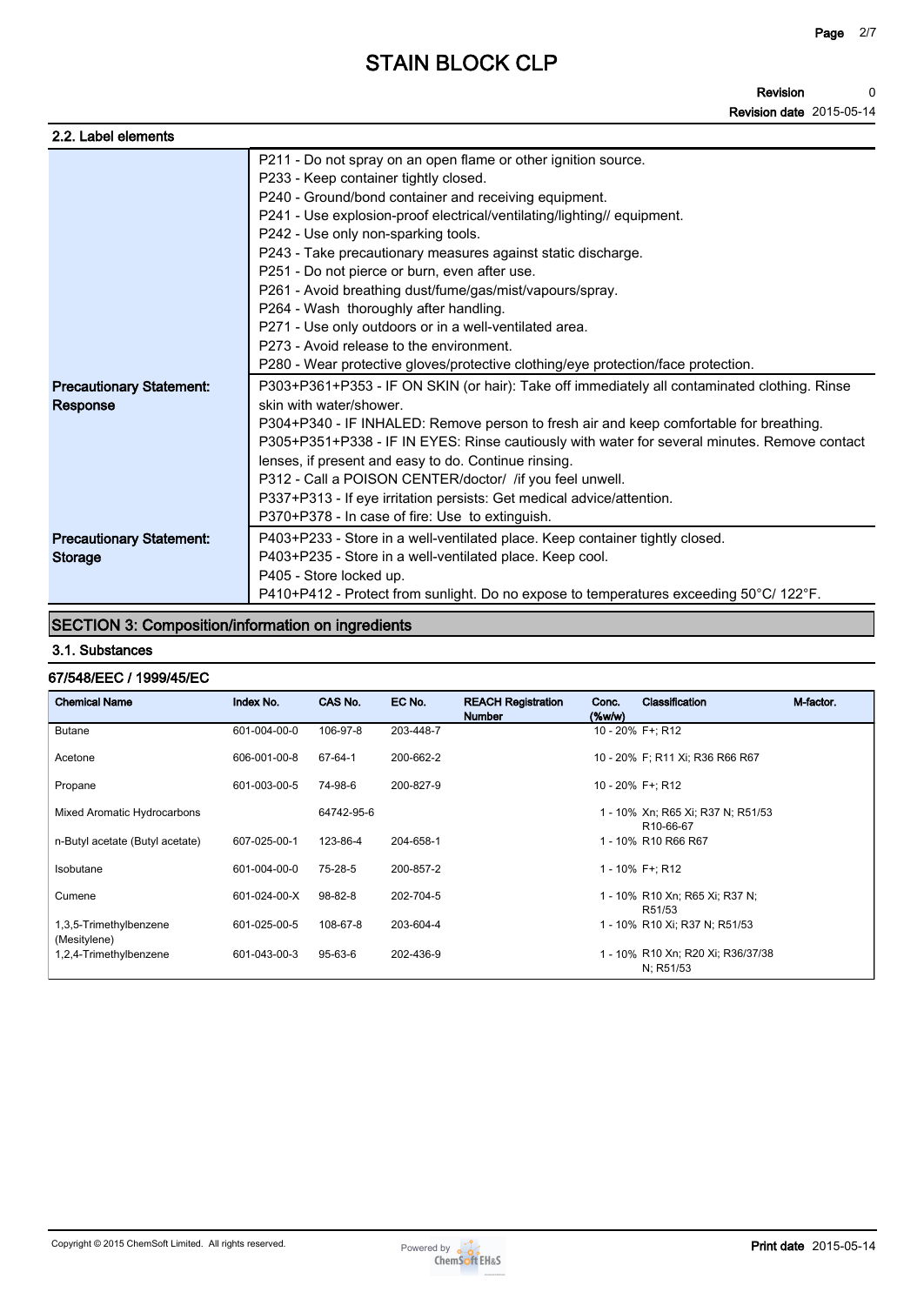#### **Revision Revision date 2015-05-14 0**

| 2.2. Label elements             |                                                                                              |
|---------------------------------|----------------------------------------------------------------------------------------------|
|                                 | P211 - Do not spray on an open flame or other ignition source.                               |
|                                 | P233 - Keep container tightly closed.                                                        |
|                                 | P240 - Ground/bond container and receiving equipment.                                        |
|                                 | P241 - Use explosion-proof electrical/ventilating/lighting// equipment.                      |
|                                 | P242 - Use only non-sparking tools.                                                          |
|                                 | P243 - Take precautionary measures against static discharge.                                 |
|                                 | P251 - Do not pierce or burn, even after use.                                                |
|                                 | P261 - Avoid breathing dust/fume/gas/mist/vapours/spray.                                     |
|                                 | P264 - Wash thoroughly after handling.                                                       |
|                                 | P271 - Use only outdoors or in a well-ventilated area.                                       |
|                                 | P273 - Avoid release to the environment.                                                     |
|                                 | P280 - Wear protective gloves/protective clothing/eye protection/face protection.            |
| <b>Precautionary Statement:</b> | P303+P361+P353 - IF ON SKIN (or hair): Take off immediately all contaminated clothing. Rinse |
| Response                        | skin with water/shower.                                                                      |
|                                 | P304+P340 - IF INHALED: Remove person to fresh air and keep comfortable for breathing.       |
|                                 | P305+P351+P338 - IF IN EYES: Rinse cautiously with water for several minutes. Remove contact |
|                                 | lenses, if present and easy to do. Continue rinsing.                                         |
|                                 | P312 - Call a POISON CENTER/doctor/ /if you feel unwell.                                     |
|                                 | P337+P313 - If eye irritation persists: Get medical advice/attention.                        |
|                                 | P370+P378 - In case of fire: Use to extinguish.                                              |
| <b>Precautionary Statement:</b> | P403+P233 - Store in a well-ventilated place. Keep container tightly closed.                 |
| <b>Storage</b>                  | P403+P235 - Store in a well-ventilated place. Keep cool.                                     |
|                                 | P405 - Store locked up.                                                                      |
|                                 | P410+P412 - Protect from sunlight. Do no expose to temperatures exceeding 50°C/ 122°F.       |

### **SECTION 3: Composition/information on ingredients**

#### **3.1. Substances**

# **67/548/EEC / 1999/45/EC**

| <b>Chemical Name</b>                   | Index No.    | CAS No.    | EC No.    | <b>REACH Registration</b><br><b>Number</b> | Conc.<br>$(\%w/w)$ | Classification                                              | M-factor. |
|----------------------------------------|--------------|------------|-----------|--------------------------------------------|--------------------|-------------------------------------------------------------|-----------|
| <b>Butane</b>                          | 601-004-00-0 | 106-97-8   | 203-448-7 |                                            |                    | 10 - 20% F+; R12                                            |           |
| Acetone                                | 606-001-00-8 | 67-64-1    | 200-662-2 |                                            |                    | 10 - 20% F; R11 Xi; R36 R66 R67                             |           |
| Propane                                | 601-003-00-5 | 74-98-6    | 200-827-9 |                                            |                    | 10 - 20% F+; R12                                            |           |
| Mixed Aromatic Hydrocarbons            |              | 64742-95-6 |           |                                            |                    | 1 - 10% Xn; R65 Xi; R37 N; R51/53<br>R <sub>10</sub> -66-67 |           |
| n-Butyl acetate (Butyl acetate)        | 607-025-00-1 | 123-86-4   | 204-658-1 |                                            |                    | 1 - 10% R10 R66 R67                                         |           |
| Isobutane                              | 601-004-00-0 | 75-28-5    | 200-857-2 |                                            |                    | 1 - 10% F+: R12                                             |           |
| Cumene                                 | 601-024-00-X | 98-82-8    | 202-704-5 |                                            |                    | 1 - 10% R10 Xn; R65 Xi; R37 N;<br>R51/53                    |           |
| 1,3,5-Trimethylbenzene<br>(Mesitylene) | 601-025-00-5 | 108-67-8   | 203-604-4 |                                            |                    | 1 - 10% R10 Xi; R37 N; R51/53                               |           |
| 1,2,4-Trimethylbenzene                 | 601-043-00-3 | 95-63-6    | 202-436-9 |                                            |                    | 1 - 10% R10 Xn; R20 Xi; R36/37/38<br>N; R51/53              |           |

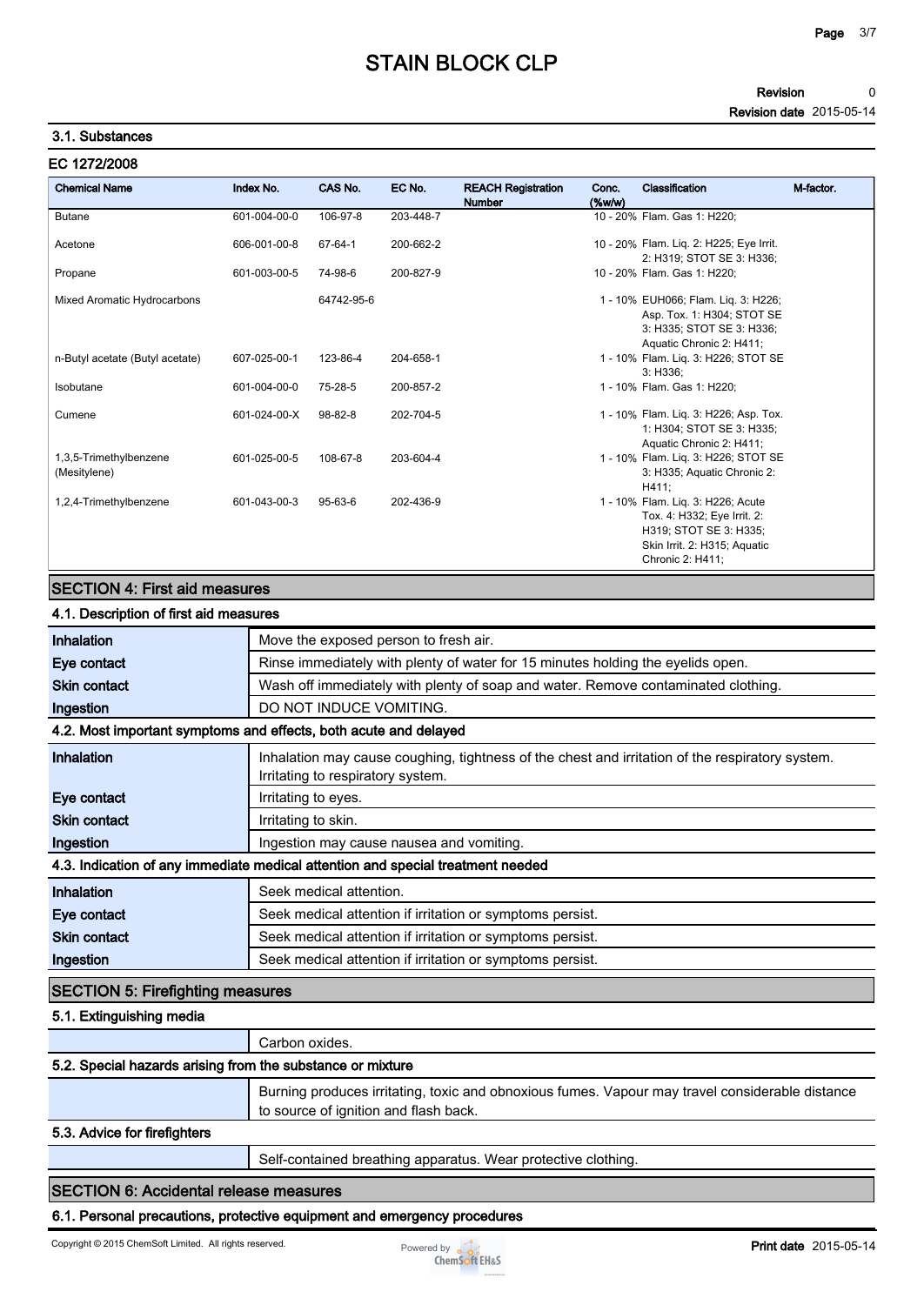#### **Revision Revision date 2015-05-14 0**

#### **3.1. Substances**

| EC 1272/2008                           |              |            |           |                                            |                       |                                                                                                                                                |           |
|----------------------------------------|--------------|------------|-----------|--------------------------------------------|-----------------------|------------------------------------------------------------------------------------------------------------------------------------------------|-----------|
| <b>Chemical Name</b>                   | Index No.    | CAS No.    | EC No.    | <b>REACH Registration</b><br><b>Number</b> | Conc.<br>$($ %w/w $)$ | Classification                                                                                                                                 | M-factor. |
| <b>Butane</b>                          | 601-004-00-0 | 106-97-8   | 203-448-7 |                                            |                       | 10 - 20% Flam. Gas 1: H220:                                                                                                                    |           |
| Acetone                                | 606-001-00-8 | 67-64-1    | 200-662-2 |                                            |                       | 10 - 20% Flam. Liq. 2: H225; Eye Irrit.<br>2: H319; STOT SE 3: H336;                                                                           |           |
| Propane                                | 601-003-00-5 | 74-98-6    | 200-827-9 |                                            |                       | 10 - 20% Flam. Gas 1: H220:                                                                                                                    |           |
| Mixed Aromatic Hydrocarbons            |              | 64742-95-6 |           |                                            |                       | 1 - 10% EUH066; Flam. Lig. 3: H226;<br>Asp. Tox. 1: H304; STOT SE<br>3: H335; STOT SE 3: H336;<br>Aquatic Chronic 2: H411;                     |           |
| n-Butyl acetate (Butyl acetate)        | 607-025-00-1 | 123-86-4   | 204-658-1 |                                            |                       | 1 - 10% Flam. Liq. 3: H226; STOT SE<br>3: H336:                                                                                                |           |
| Isobutane                              | 601-004-00-0 | 75-28-5    | 200-857-2 |                                            |                       | 1 - 10% Flam. Gas 1: H220:                                                                                                                     |           |
| Cumene                                 | 601-024-00-X | 98-82-8    | 202-704-5 |                                            |                       | 1 - 10% Flam. Liq. 3: H226; Asp. Tox.<br>1: H304; STOT SE 3: H335;<br>Aquatic Chronic 2: H411;                                                 |           |
| 1,3,5-Trimethylbenzene<br>(Mesitylene) | 601-025-00-5 | 108-67-8   | 203-604-4 |                                            |                       | 1 - 10% Flam. Lig. 3: H226; STOT SE<br>3: H335; Aquatic Chronic 2:<br>H411;                                                                    |           |
| 1,2,4-Trimethylbenzene                 | 601-043-00-3 | 95-63-6    | 202-436-9 |                                            |                       | 1 - 10% Flam. Lig. 3: H226; Acute<br>Tox. 4: H332; Eye Irrit. 2:<br>H319; STOT SE 3: H335;<br>Skin Irrit. 2: H315; Aquatic<br>Chronic 2: H411; |           |

### **SECTION 4: First aid measures**

### **4.1. Description of first aid measures**

| Inhalation                                                 | Move the exposed person to fresh air.                                                                                                    |  |  |  |  |  |  |
|------------------------------------------------------------|------------------------------------------------------------------------------------------------------------------------------------------|--|--|--|--|--|--|
| Eye contact                                                | Rinse immediately with plenty of water for 15 minutes holding the eyelids open.                                                          |  |  |  |  |  |  |
| <b>Skin contact</b>                                        | Wash off immediately with plenty of soap and water. Remove contaminated clothing.                                                        |  |  |  |  |  |  |
| Ingestion                                                  | DO NOT INDUCE VOMITING.                                                                                                                  |  |  |  |  |  |  |
|                                                            | 4.2. Most important symptoms and effects, both acute and delayed                                                                         |  |  |  |  |  |  |
| Inhalation                                                 | Inhalation may cause coughing, tightness of the chest and irritation of the respiratory system.<br>Irritating to respiratory system.     |  |  |  |  |  |  |
| Eye contact                                                | Irritating to eyes.                                                                                                                      |  |  |  |  |  |  |
| <b>Skin contact</b>                                        | Irritating to skin.                                                                                                                      |  |  |  |  |  |  |
| Ingestion                                                  | Ingestion may cause nausea and vomiting.                                                                                                 |  |  |  |  |  |  |
|                                                            | 4.3. Indication of any immediate medical attention and special treatment needed                                                          |  |  |  |  |  |  |
| Inhalation                                                 | Seek medical attention.                                                                                                                  |  |  |  |  |  |  |
| Eye contact                                                | Seek medical attention if irritation or symptoms persist.                                                                                |  |  |  |  |  |  |
| <b>Skin contact</b>                                        | Seek medical attention if irritation or symptoms persist.                                                                                |  |  |  |  |  |  |
| Ingestion                                                  | Seek medical attention if irritation or symptoms persist.                                                                                |  |  |  |  |  |  |
| <b>SECTION 5: Firefighting measures</b>                    |                                                                                                                                          |  |  |  |  |  |  |
| 5.1. Extinguishing media                                   |                                                                                                                                          |  |  |  |  |  |  |
|                                                            | Carbon oxides.                                                                                                                           |  |  |  |  |  |  |
| 5.2. Special hazards arising from the substance or mixture |                                                                                                                                          |  |  |  |  |  |  |
|                                                            | Burning produces irritating, toxic and obnoxious fumes. Vapour may travel considerable distance<br>to source of ignition and flash back. |  |  |  |  |  |  |
| 5.3. Advice for firefighters                               |                                                                                                                                          |  |  |  |  |  |  |
|                                                            | Self-contained breathing apparatus. Wear protective clothing.                                                                            |  |  |  |  |  |  |
| <b>SECTION 6: Accidental release measures</b>              |                                                                                                                                          |  |  |  |  |  |  |
|                                                            | 6.1. Personal precautions, protective equipment and emergency procedures                                                                 |  |  |  |  |  |  |
|                                                            |                                                                                                                                          |  |  |  |  |  |  |

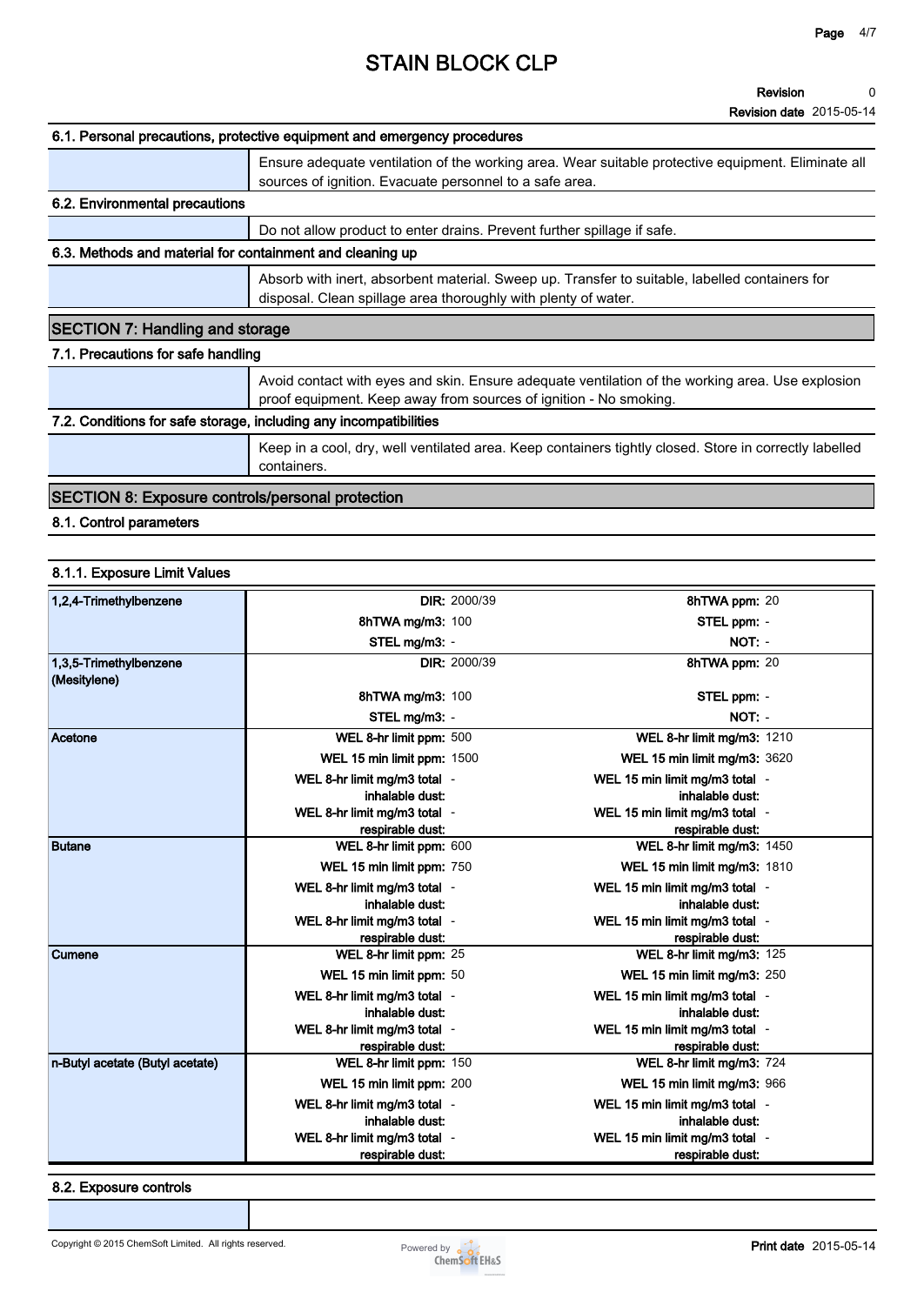#### **Revision Revision date 2015-05-14 0**

|                                                                   | 6.1. Personal precautions, protective equipment and emergency procedures                                                                                              |
|-------------------------------------------------------------------|-----------------------------------------------------------------------------------------------------------------------------------------------------------------------|
|                                                                   | Ensure adequate ventilation of the working area. Wear suitable protective equipment. Eliminate all<br>sources of ignition. Evacuate personnel to a safe area.         |
| 6.2. Environmental precautions                                    |                                                                                                                                                                       |
|                                                                   | Do not allow product to enter drains. Prevent further spillage if safe.                                                                                               |
| 6.3. Methods and material for containment and cleaning up         |                                                                                                                                                                       |
|                                                                   | Absorb with inert, absorbent material. Sweep up. Transfer to suitable, labelled containers for<br>disposal. Clean spillage area thoroughly with plenty of water.      |
| <b>SECTION 7: Handling and storage</b>                            |                                                                                                                                                                       |
| 7.1. Precautions for safe handling                                |                                                                                                                                                                       |
|                                                                   | Avoid contact with eyes and skin. Ensure adequate ventilation of the working area. Use explosion<br>proof equipment. Keep away from sources of ignition - No smoking. |
| 7.2. Conditions for safe storage, including any incompatibilities |                                                                                                                                                                       |
|                                                                   | Keep in a cool, dry, well ventilated area. Keep containers tightly closed. Store in correctly labelled<br>containers.                                                 |
| <b>SECTION 8: Exposure controls/personal protection</b>           |                                                                                                                                                                       |

**8.1. Control parameters**

#### **8.1.1. Exposure Limit Values**

| 1,2,4-Trimethylbenzene                 |                                             | <b>DIR: 2000/39</b> | 8hTWA ppm: 20                                  |  |
|----------------------------------------|---------------------------------------------|---------------------|------------------------------------------------|--|
|                                        | 8hTWA mg/m3: 100                            |                     | STEL ppm: -                                    |  |
|                                        | STEL mg/m3: -                               |                     | NOT: -                                         |  |
| 1,3,5-Trimethylbenzene<br>(Mesitylene) |                                             | <b>DIR: 2000/39</b> | 8hTWA ppm: 20                                  |  |
|                                        | 8hTWA mg/m3: 100                            |                     | STEL ppm: -                                    |  |
|                                        | STEL mg/m3: -                               |                     | NOT: -                                         |  |
| Acetone                                | WEL 8-hr limit ppm: 500                     |                     | WEL 8-hr limit mg/m3: 1210                     |  |
|                                        | WEL 15 min limit ppm: 1500                  |                     | WEL 15 min limit mg/m3: 3620                   |  |
|                                        | WEL 8-hr limit mg/m3 total -                |                     | WEL 15 min limit mg/m3 total -                 |  |
|                                        | inhalable dust:                             |                     | inhalable dust:                                |  |
|                                        | WEL 8-hr limit mg/m3 total -                |                     | WEL 15 min limit mg/m3 total -                 |  |
| <b>Butane</b>                          | respirable dust:<br>WEL 8-hr limit ppm: 600 |                     | respirable dust:<br>WEL 8-hr limit mg/m3: 1450 |  |
|                                        | WEL 15 min limit ppm: 750                   |                     | WEL 15 min limit mg/m3: 1810                   |  |
|                                        | WEL 8-hr limit mg/m3 total -                |                     | WEL 15 min limit mg/m3 total -                 |  |
|                                        | inhalable dust:                             |                     | inhalable dust:                                |  |
|                                        | WEL 8-hr limit mg/m3 total -                |                     | WEL 15 min limit mg/m3 total -                 |  |
|                                        | respirable dust:                            |                     | respirable dust:                               |  |
| <b>Cumene</b>                          | WEL 8-hr limit ppm: 25                      |                     | WEL 8-hr limit mg/m3: 125                      |  |
|                                        | WEL 15 min limit ppm: 50                    |                     | WEL 15 min limit mg/m3: 250                    |  |
|                                        | WEL 8-hr limit mg/m3 total -                |                     | WEL 15 min limit mg/m3 total -                 |  |
|                                        | inhalable dust:                             |                     | inhalable dust:                                |  |
|                                        | WEL 8-hr limit mg/m3 total -                |                     | WEL 15 min limit mg/m3 total -                 |  |
|                                        | respirable dust:                            |                     | respirable dust.                               |  |
| n-Butyl acetate (Butyl acetate)        | WEL 8-hr limit ppm: 150                     |                     | WEL 8-hr limit mg/m3: 724                      |  |
|                                        | WEL 15 min limit ppm: 200                   |                     | WEL 15 min limit mg/m3: 966                    |  |
|                                        | WEL 8-hr limit mg/m3 total -                |                     | WEL 15 min limit mg/m3 total -                 |  |
|                                        | inhalable dust:                             |                     | inhalable dust:                                |  |
|                                        | WEL 8-hr limit mg/m3 total -                |                     | WEL 15 min limit mg/m3 total -                 |  |
|                                        | respirable dust:                            |                     | respirable dust:                               |  |

**8.2. Exposure controls**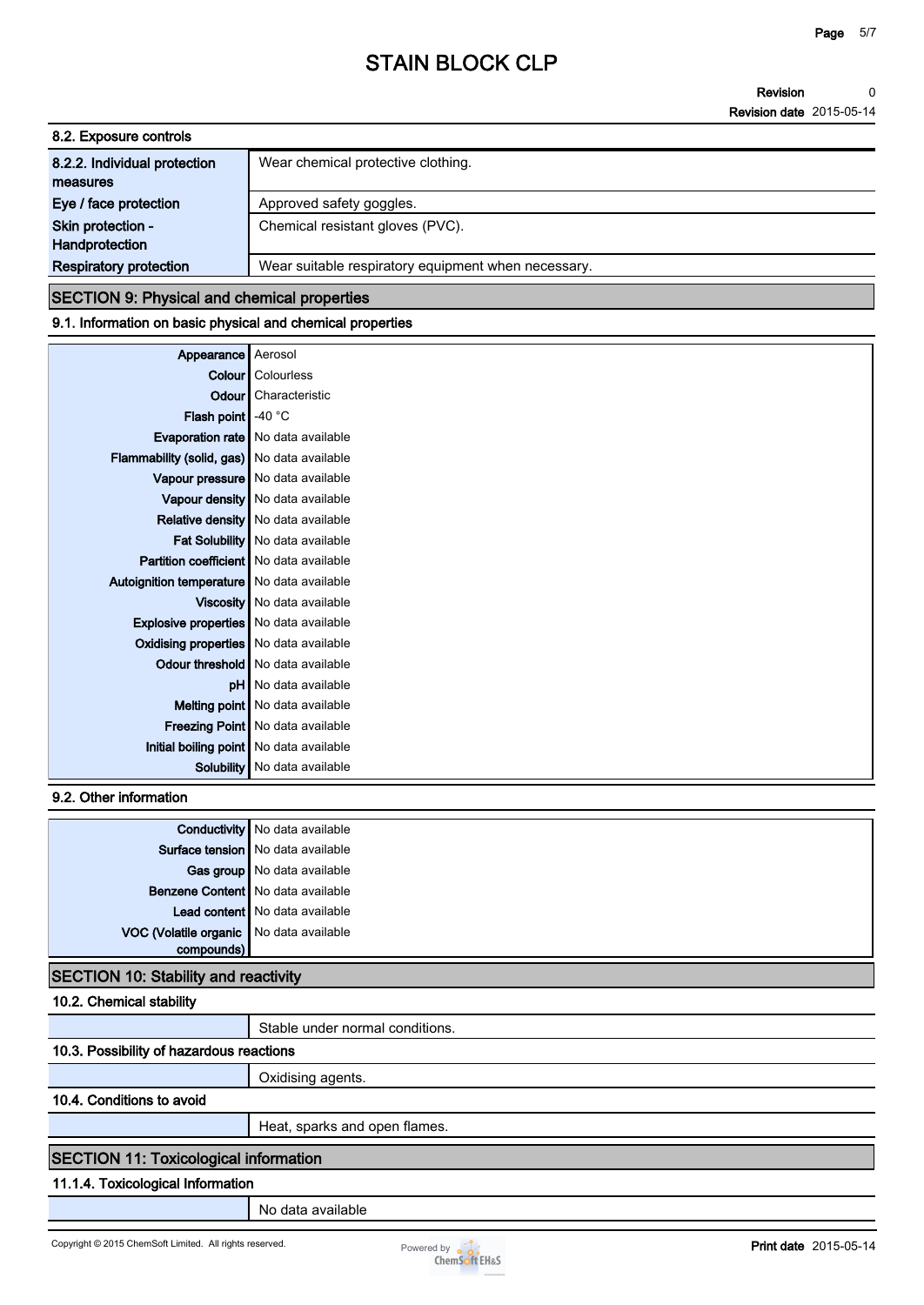**Revision Revision date 2015-05-14 0**

| 8.2. Exposure controls        |                                                     |
|-------------------------------|-----------------------------------------------------|
| 8.2.2. Individual protection  | Wear chemical protective clothing.                  |
| measures                      |                                                     |
| Eye / face protection         | Approved safety goggles.                            |
| Skin protection -             | Chemical resistant gloves (PVC).                    |
| Handprotection                |                                                     |
| <b>Respiratory protection</b> | Wear suitable respiratory equipment when necessary. |

#### **SECTION 9: Physical and chemical properties**

#### **9.1. Information on basic physical and chemical properties**

| Appearance                                   | Aerosol                                   |
|----------------------------------------------|-------------------------------------------|
|                                              | Colour   Colourless                       |
|                                              | <b>Odour</b> Characteristic               |
| <b>Flash point</b> $-40^{\circ}$ C           |                                           |
|                                              | <b>Evaporation rate</b> No data available |
| Flammability (solid, gas) No data available  |                                           |
|                                              | Vapour pressure   No data available       |
|                                              | Vapour density   No data available        |
|                                              | <b>Relative density</b> No data available |
|                                              | Fat Solubility   No data available        |
| Partition coefficient   No data available    |                                           |
| Autoignition temperature   No data available |                                           |
|                                              | Viscosity   No data available             |
| Explosive properties   No data available     |                                           |
| Oxidising properties No data available       |                                           |
|                                              | <b>Odour threshold</b> No data available  |
|                                              | <b>pH</b> No data available               |
|                                              | Melting point   No data available         |
|                                              | Freezing Point   No data available        |
|                                              | Initial boiling point   No data available |
|                                              | Solubility   No data available            |

**9.2. Other information**

|                                         | <b>Conductivity</b> No data available |
|-----------------------------------------|---------------------------------------|
|                                         | Surface tension   No data available   |
|                                         | Gas group   No data available         |
|                                         | Benzene Content   No data available   |
|                                         | Lead content   No data available      |
| VOC (Volatile organic No data available |                                       |
| compounds)                              |                                       |

### **SECTION 10: Stability and reactivity**

**10.2. Chemical stability**

**Stable under normal conditions.**

### **10.3. Possibility of hazardous reactions**

**Oxidising agents.**

**10.4. Conditions to avoid**

**Heat, sparks and open flames.**

### **SECTION 11: Toxicological information**

#### **11.1.4. Toxicological Information**

**No data available**

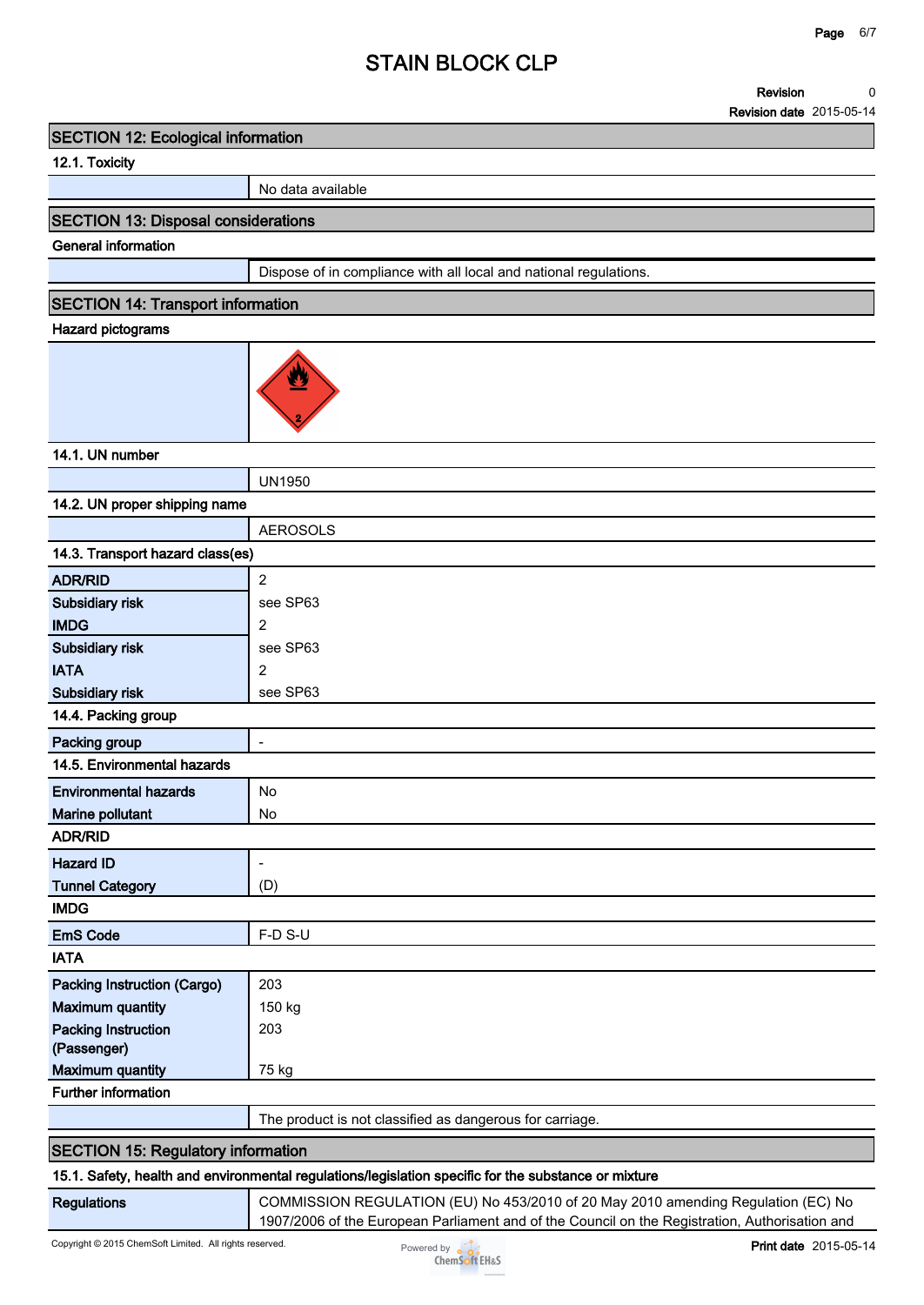#### **Revision 0**

**Revision date 2015-05-14**

#### **SECTION 12: Ecological information**

### **12.1. Toxicity**

**No data available**

#### **SECTION 13: Disposal considerations**

### **General information**

**Dispose of in compliance with all local and national regulations.**

#### **SECTION 14: Transport information**

### **Hazard pictograms**



#### **14.1. UN number**

|                                           | <b>UN1950</b>                                                                                      |
|-------------------------------------------|----------------------------------------------------------------------------------------------------|
| 14.2. UN proper shipping name             |                                                                                                    |
|                                           | <b>AEROSOLS</b>                                                                                    |
| 14.3. Transport hazard class(es)          |                                                                                                    |
| <b>ADR/RID</b>                            | $\overline{2}$                                                                                     |
| Subsidiary risk                           | see SP63                                                                                           |
| <b>IMDG</b>                               | 2                                                                                                  |
| Subsidiary risk                           | see SP63                                                                                           |
| <b>IATA</b>                               | $\overline{2}$                                                                                     |
| Subsidiary risk                           | see SP63                                                                                           |
| 14.4. Packing group                       |                                                                                                    |
| Packing group                             | $\overline{\phantom{a}}$                                                                           |
| 14.5. Environmental hazards               |                                                                                                    |
| <b>Environmental hazards</b>              | No                                                                                                 |
| Marine pollutant                          | <b>No</b>                                                                                          |
| <b>ADR/RID</b>                            |                                                                                                    |
| <b>Hazard ID</b>                          | $\overline{\phantom{a}}$                                                                           |
| <b>Tunnel Category</b>                    | (D)                                                                                                |
| <b>IMDG</b>                               |                                                                                                    |
| <b>EmS Code</b>                           | F-D S-U                                                                                            |
| <b>IATA</b>                               |                                                                                                    |
| Packing Instruction (Cargo)               | 203                                                                                                |
| <b>Maximum quantity</b>                   | 150 kg                                                                                             |
| <b>Packing Instruction</b>                | 203                                                                                                |
| (Passenger)                               |                                                                                                    |
| <b>Maximum quantity</b>                   | 75 kg                                                                                              |
| <b>Further information</b>                |                                                                                                    |
|                                           | The product is not classified as dangerous for carriage.                                           |
| <b>SECTION 15: Regulatory information</b> |                                                                                                    |
|                                           | 15.1 Safety, bealth and environmental requisions/legislation specific for the substance or mixture |

#### **15.1. Safety, health and environmental regulations/legislation specific for the substance or mixture**

**Regulations COMMISSION REGULATION (EU) No 453/2010 of 20 May 2010 amending Regulation (EC) No 1907/2006 of the European Parliament and of the Council on the Registration, Authorisation and**